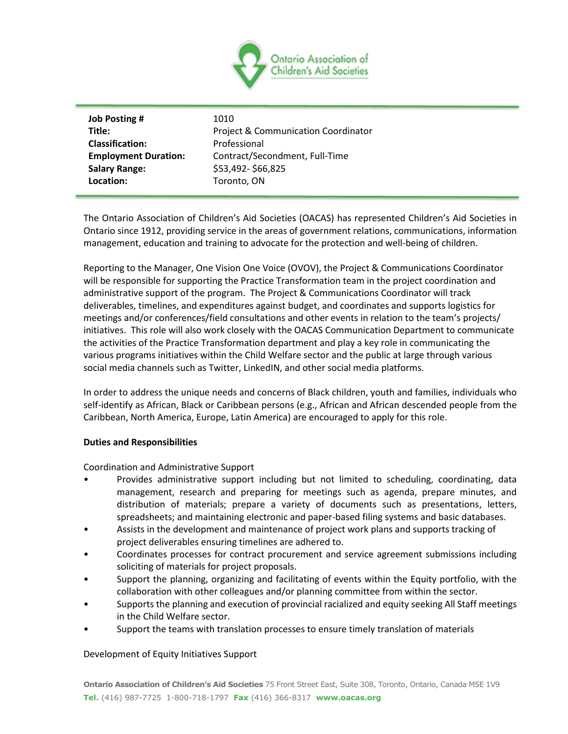

| <b>Job Posting #</b>        | 1010                                           |
|-----------------------------|------------------------------------------------|
| Title:                      | <b>Project &amp; Communication Coordinator</b> |
| <b>Classification:</b>      | Professional                                   |
| <b>Employment Duration:</b> | Contract/Secondment, Full-Time                 |
| <b>Salary Range:</b>        | \$53,492-\$66,825                              |
| Location:                   | Toronto, ON                                    |
|                             |                                                |

The Ontario Association of Children's Aid Societies (OACAS) has represented Children's Aid Societies in Ontario since 1912, providing service in the areas of government relations, communications, information management, education and training to advocate for the protection and well-being of children.

Reporting to the Manager, One Vision One Voice (OVOV), the Project & Communications Coordinator will be responsible for supporting the Practice Transformation team in the project coordination and administrative support of the program. The Project & Communications Coordinator will track deliverables, timelines, and expenditures against budget, and coordinates and supports logistics for meetings and/or conferences/field consultations and other events in relation to the team's projects/ initiatives. This role will also work closely with the OACAS Communication Department to communicate the activities of the Practice Transformation department and play a key role in communicating the various programs initiatives within the Child Welfare sector and the public at large through various social media channels such as Twitter, LinkedIN, and other social media platforms.

In order to address the unique needs and concerns of Black children, youth and families, individuals who self-identify as African, Black or Caribbean persons (e.g., African and African descended people from the Caribbean, North America, Europe, Latin America) are encouraged to apply for this role.

# **Duties and Responsibilities**

Coordination and Administrative Support

- Provides administrative support including but not limited to scheduling, coordinating, data management, research and preparing for meetings such as agenda, prepare minutes, and distribution of materials; prepare a variety of documents such as presentations, letters, spreadsheets; and maintaining electronic and paper-based filing systems and basic databases.
- Assists in the development and maintenance of project work plans and supports tracking of project deliverables ensuring timelines are adhered to.
- Coordinates processes for contract procurement and service agreement submissions including soliciting of materials for project proposals.
- Support the planning, organizing and facilitating of events within the Equity portfolio, with the collaboration with other colleagues and/or planning committee from within the sector.
- Supports the planning and execution of provincial racialized and equity seeking All Staff meetings in the Child Welfare sector.
- Support the teams with translation processes to ensure timely translation of materials

# Development of Equity Initiatives Support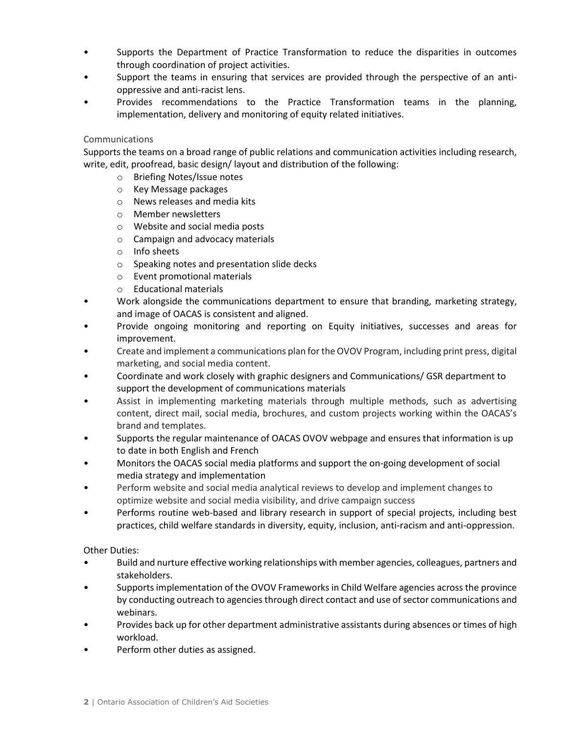- Supports the Department of Practice Transformation to reduce the disparities in outcomes through coordination of project activities.
- Support the teams in ensuring that services are provided through the perspective of an antioppressive and anti-racist lens.
- Provides recommendations to the Practice Transformation teams in the planning, implementation, delivery and monitoring of equity related initiatives.

# Communications

Supports the teams on a broad range of public relations and communication activities including research, write, edit, proofread, basic design/ layout and distribution of the following:

- o Briefing Notes/Issue notes
- o Key Message packages
- o News releases and media kits
- o Member newsletters
- o Website and social media posts
- o Campaign and advocacy materials
- o Info sheets
- o Speaking notes and presentation slide decks
- o Event promotional materials
- o Educational materials
- Work alongside the communications department to ensure that branding, marketing strategy, and image of OACAS is consistent and aligned.
- Provide ongoing monitoring and reporting on Equity initiatives, successes and areas for improvement.
- Create and implement a communications plan for the OVOV Program, including print press, digital marketing, and social media content.
- Coordinate and work closely with graphic designers and Communications/ GSR department to support the development of communications materials
- Assist in implementing marketing materials through multiple methods, such as advertising content, direct mail, social media, brochures, and custom projects working within the OACAS's brand and templates.
- Supports the regular maintenance of OACAS OVOV webpage and ensures that information is up to date in both English and French
- Monitors the OACAS social media platforms and support the on-going development of social media strategy and implementation
- Perform website and social media analytical reviews to develop and implement changes to optimize website and social media visibility, and drive campaign success
- Performs routine web-based and library research in support of special projects, including best practices, child welfare standards in diversity, equity, inclusion, anti-racism and anti-oppression.

Other Duties:

- Build and nurture effective working relationships with member agencies, colleagues, partners and stakeholders.
- Supports implementation of the OVOV Frameworks in Child Welfare agencies across the province by conducting outreach to agencies through direct contact and use of sector communications and webinars.
- Provides back up for other department administrative assistants during absences or times of high workload.
- Perform other duties as assigned.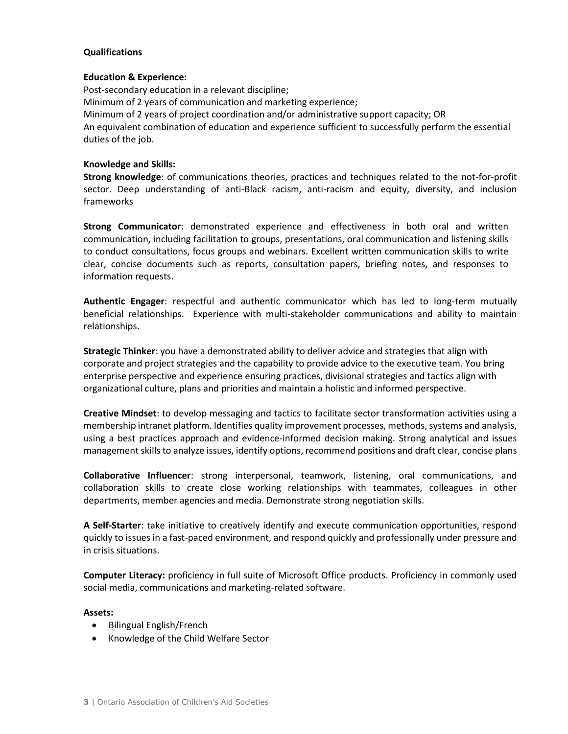## **Qualifications**

### **Education & Experience:**

Post-secondary education in a relevant discipline; Minimum of 2 years of communication and marketing experience; Minimum of 2 years of project coordination and/or administrative support capacity; OR An equivalent combination of education and experience sufficient to successfully perform the essential duties of the job.

## **Knowledge and Skills:**

**Strong knowledge**: of communications theories, practices and techniques related to the not-for-profit sector. Deep understanding of anti-Black racism, anti-racism and equity, diversity, and inclusion frameworks

**Strong Communicator**: demonstrated experience and effectiveness in both oral and written communication, including facilitation to groups, presentations, oral communication and listening skills to conduct consultations, focus groups and webinars. Excellent written communication skills to write clear, concise documents such as reports, consultation papers, briefing notes, and responses to information requests.

**Authentic Engager**: respectful and authentic communicator which has led to long-term mutually beneficial relationships. Experience with multi-stakeholder communications and ability to maintain relationships.

**Strategic Thinker**: you have a demonstrated ability to deliver advice and strategies that align with corporate and project strategies and the capability to provide advice to the executive team. You bring enterprise perspective and experience ensuring practices, divisional strategies and tactics align with organizational culture, plans and priorities and maintain a holistic and informed perspective.

**Creative Mindset**: to develop messaging and tactics to facilitate sector transformation activities using a membership intranet platform. Identifies quality improvement processes, methods, systems and analysis, using a best practices approach and evidence-informed decision making. Strong analytical and issues management skills to analyze issues, identify options, recommend positions and draft clear, concise plans

**Collaborative Influencer**: strong interpersonal, teamwork, listening, oral communications, and collaboration skills to create close working relationships with teammates, colleagues in other departments, member agencies and media. Demonstrate strong negotiation skills.

**A Self-Starter**: take initiative to creatively identify and execute communication opportunities, respond quickly to issues in a fast-paced environment, and respond quickly and professionally under pressure and in crisis situations.

**Computer Literacy:** proficiency in full suite of Microsoft Office products. Proficiency in commonly used social media, communications and marketing-related software.

## **Assets:**

- Bilingual English/French
- Knowledge of the Child Welfare Sector